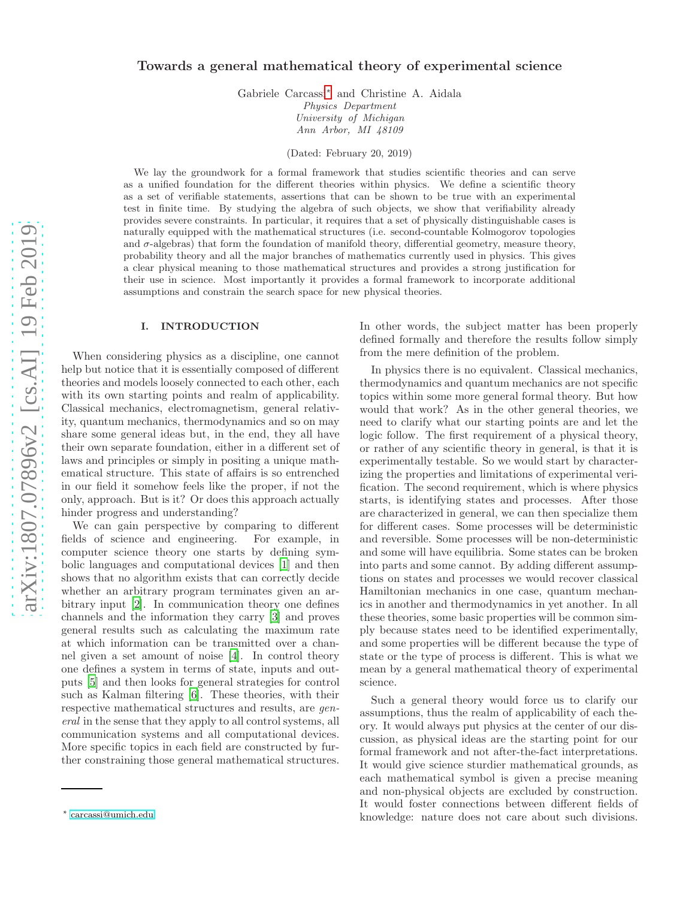# Towards a general mathematical theory of experimental science

Gabriele Carcassi[∗](#page-0-0) and Christine A. Aidala Physics Department University of Michigan Ann Arbor, MI 48109

(Dated: February 20, 2019)

We lay the groundwork for a formal framework that studies scientific theories and can serve as a unified foundation for the different theories within physics. We define a scientific theory as a set of verifiable statements, assertions that can be shown to be true with an experimental test in finite time. By studying the algebra of such objects, we show that verifiability already provides severe constraints. In particular, it requires that a set of physically distinguishable cases is naturally equipped with the mathematical structures (i.e. second-countable Kolmogorov topologies and  $\sigma$ -algebras) that form the foundation of manifold theory, differential geometry, measure theory, probability theory and all the major branches of mathematics currently used in physics. This gives a clear physical meaning to those mathematical structures and provides a strong justification for their use in science. Most importantly it provides a formal framework to incorporate additional assumptions and constrain the search space for new physical theories.

#### I. INTRODUCTION

When considering physics as a discipline, one cannot help but notice that it is essentially composed of different theories and models loosely connected to each other, each with its own starting points and realm of applicability. Classical mechanics, electromagnetism, general relativity, quantum mechanics, thermodynamics and so on may share some general ideas but, in the end, they all have their own separate foundation, either in a different set of laws and principles or simply in positing a unique mathematical structure. This state of affairs is so entrenched in our field it somehow feels like the proper, if not the only, approach. But is it? Or does this approach actually hinder progress and understanding?

We can gain perspective by comparing to different fields of science and engineering. For example, in computer science theory one starts by defining symbolic languages and computational devices [\[1](#page-7-0)] and then shows that no algorithm exists that can correctly decide whether an arbitrary program terminates given an arbitrary input [\[2](#page-7-1)]. In communication theory one defines channels and the information they carry [\[3\]](#page-7-2) and proves general results such as calculating the maximum rate at which information can be transmitted over a channel given a set amount of noise [\[4\]](#page-7-3). In control theory one defines a system in terms of state, inputs and outputs [\[5](#page-7-4)] and then looks for general strategies for control such as Kalman filtering [\[6\]](#page-7-5). These theories, with their respective mathematical structures and results, are general in the sense that they apply to all control systems, all communication systems and all computational devices. More specific topics in each field are constructed by further constraining those general mathematical structures.

In other words, the subject matter has been properly defined formally and therefore the results follow simply from the mere definition of the problem.

In physics there is no equivalent. Classical mechanics, thermodynamics and quantum mechanics are not specific topics within some more general formal theory. But how would that work? As in the other general theories, we need to clarify what our starting points are and let the logic follow. The first requirement of a physical theory, or rather of any scientific theory in general, is that it is experimentally testable. So we would start by characterizing the properties and limitations of experimental verification. The second requirement, which is where physics starts, is identifying states and processes. After those are characterized in general, we can then specialize them for different cases. Some processes will be deterministic and reversible. Some processes will be non-deterministic and some will have equilibria. Some states can be broken into parts and some cannot. By adding different assumptions on states and processes we would recover classical Hamiltonian mechanics in one case, quantum mechanics in another and thermodynamics in yet another. In all these theories, some basic properties will be common simply because states need to be identified experimentally, and some properties will be different because the type of state or the type of process is different. This is what we mean by a general mathematical theory of experimental science.

Such a general theory would force us to clarify our assumptions, thus the realm of applicability of each theory. It would always put physics at the center of our discussion, as physical ideas are the starting point for our formal framework and not after-the-fact interpretations. It would give science sturdier mathematical grounds, as each mathematical symbol is given a precise meaning and non-physical objects are excluded by construction. It would foster connections between different fields of knowledge: nature does not care about such divisions.

<span id="page-0-0"></span><sup>∗</sup> [carcassi@umich.edu](mailto:carcassi@umich.edu)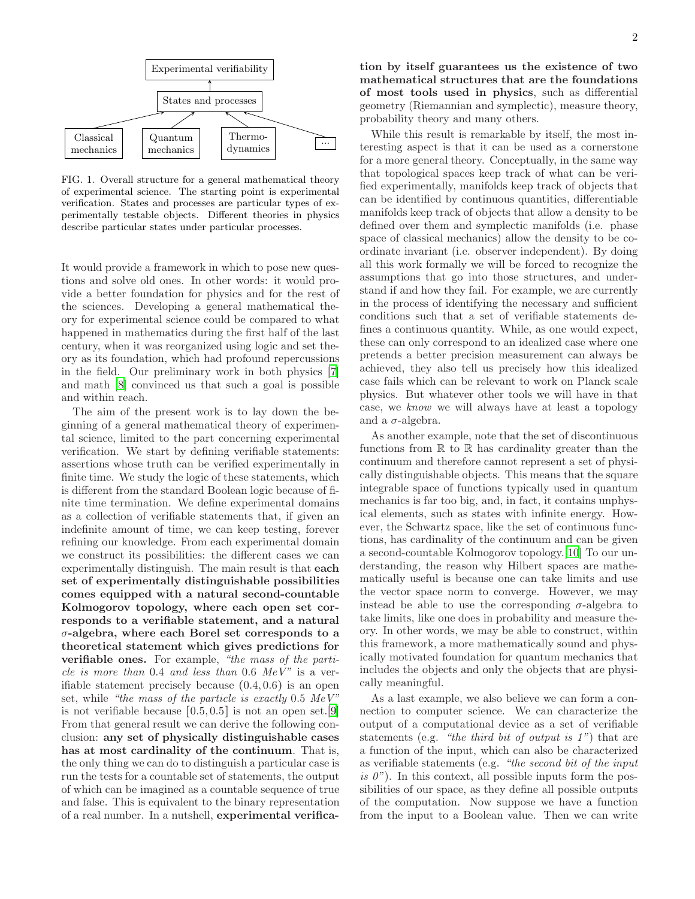

FIG. 1. Overall structure for a general mathematical theory of experimental science. The starting point is experimental verification. States and processes are particular types of experimentally testable objects. Different theories in physics describe particular states under particular processes.

It would provide a framework in which to pose new questions and solve old ones. In other words: it would provide a better foundation for physics and for the rest of the sciences. Developing a general mathematical theory for experimental science could be compared to what happened in mathematics during the first half of the last century, when it was reorganized using logic and set theory as its foundation, which had profound repercussions in the field. Our preliminary work in both physics [\[7](#page-7-6)] and math [\[8](#page-8-0)] convinced us that such a goal is possible and within reach.

The aim of the present work is to lay down the beginning of a general mathematical theory of experimental science, limited to the part concerning experimental verification. We start by defining verifiable statements: assertions whose truth can be verified experimentally in finite time. We study the logic of these statements, which is different from the standard Boolean logic because of finite time termination. We define experimental domains as a collection of verifiable statements that, if given an indefinite amount of time, we can keep testing, forever refining our knowledge. From each experimental domain we construct its possibilities: the different cases we can experimentally distinguish. The main result is that each set of experimentally distinguishable possibilities comes equipped with a natural second-countable Kolmogorov topology, where each open set corresponds to a verifiable statement, and a natural σ-algebra, where each Borel set corresponds to a theoretical statement which gives predictions for verifiable ones. For example, "the mass of the particle is more than  $0.4$  and less than  $0.6$  MeV" is a verifiable statement precisely because  $(0.4, 0.6)$  is an open set, while "the mass of the particle is exactly  $0.5 \; MeV$ " is not verifiable because  $[0.5, 0.5]$  is not an open set. [\[9](#page-8-1)] From that general result we can derive the following conclusion: any set of physically distinguishable cases has at most cardinality of the continuum. That is, the only thing we can do to distinguish a particular case is run the tests for a countable set of statements, the output of which can be imagined as a countable sequence of true and false. This is equivalent to the binary representation of a real number. In a nutshell, experimental verifica-

tion by itself guarantees us the existence of two mathematical structures that are the foundations of most tools used in physics, such as differential geometry (Riemannian and symplectic), measure theory, probability theory and many others.

While this result is remarkable by itself, the most interesting aspect is that it can be used as a cornerstone for a more general theory. Conceptually, in the same way that topological spaces keep track of what can be verified experimentally, manifolds keep track of objects that can be identified by continuous quantities, differentiable manifolds keep track of objects that allow a density to be defined over them and symplectic manifolds (i.e. phase space of classical mechanics) allow the density to be coordinate invariant (i.e. observer independent). By doing all this work formally we will be forced to recognize the assumptions that go into those structures, and understand if and how they fail. For example, we are currently in the process of identifying the necessary and sufficient conditions such that a set of verifiable statements defines a continuous quantity. While, as one would expect, these can only correspond to an idealized case where one pretends a better precision measurement can always be achieved, they also tell us precisely how this idealized case fails which can be relevant to work on Planck scale physics. But whatever other tools we will have in that case, we know we will always have at least a topology and a  $\sigma$ -algebra.

As another example, note that the set of discontinuous functions from  $\mathbb R$  to  $\mathbb R$  has cardinality greater than the continuum and therefore cannot represent a set of physically distinguishable objects. This means that the square integrable space of functions typically used in quantum mechanics is far too big, and, in fact, it contains unphysical elements, such as states with infinite energy. However, the Schwartz space, like the set of continuous functions, has cardinality of the continuum and can be given a second-countable Kolmogorov topology.[\[10\]](#page-8-2) To our understanding, the reason why Hilbert spaces are mathematically useful is because one can take limits and use the vector space norm to converge. However, we may instead be able to use the corresponding  $\sigma$ -algebra to take limits, like one does in probability and measure theory. In other words, we may be able to construct, within this framework, a more mathematically sound and physically motivated foundation for quantum mechanics that includes the objects and only the objects that are physically meaningful.

As a last example, we also believe we can form a connection to computer science. We can characterize the output of a computational device as a set of verifiable statements (e.g. "the third bit of output is  $1$ ") that are a function of the input, which can also be characterized as verifiable statements (e.g. "the second bit of the input is  $\theta$ "). In this context, all possible inputs form the possibilities of our space, as they define all possible outputs of the computation. Now suppose we have a function from the input to a Boolean value. Then we can write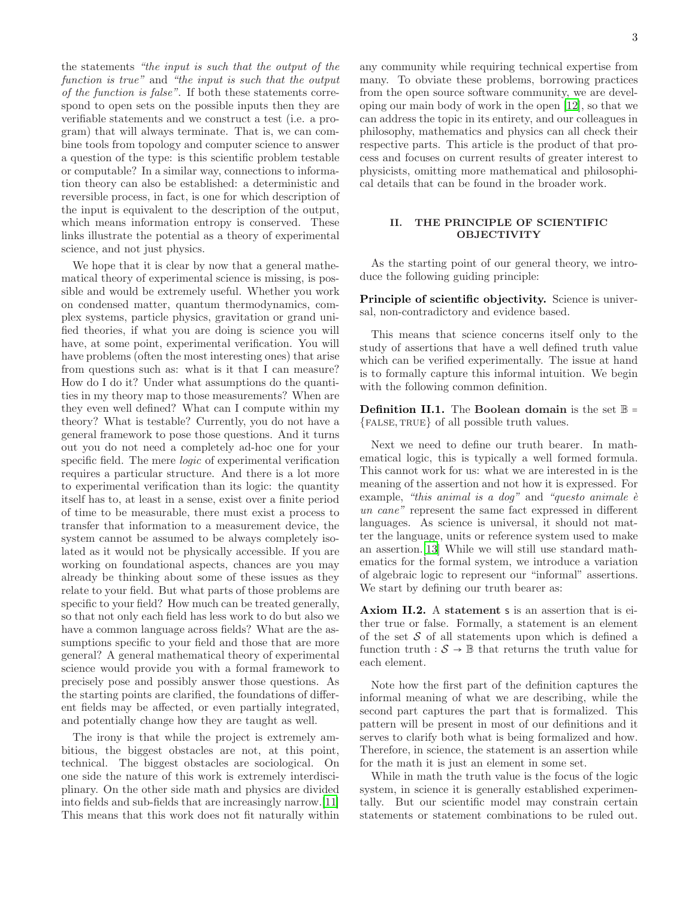the statements "the input is such that the output of the function is true" and "the input is such that the output of the function is false". If both these statements correspond to open sets on the possible inputs then they are verifiable statements and we construct a test (i.e. a program) that will always terminate. That is, we can combine tools from topology and computer science to answer a question of the type: is this scientific problem testable or computable? In a similar way, connections to information theory can also be established: a deterministic and reversible process, in fact, is one for which description of the input is equivalent to the description of the output, which means information entropy is conserved. These links illustrate the potential as a theory of experimental science, and not just physics.

We hope that it is clear by now that a general mathematical theory of experimental science is missing, is possible and would be extremely useful. Whether you work on condensed matter, quantum thermodynamics, complex systems, particle physics, gravitation or grand unified theories, if what you are doing is science you will have, at some point, experimental verification. You will have problems (often the most interesting ones) that arise from questions such as: what is it that I can measure? How do I do it? Under what assumptions do the quantities in my theory map to those measurements? When are they even well defined? What can I compute within my theory? What is testable? Currently, you do not have a general framework to pose those questions. And it turns out you do not need a completely ad-hoc one for your specific field. The mere logic of experimental verification requires a particular structure. And there is a lot more to experimental verification than its logic: the quantity itself has to, at least in a sense, exist over a finite period of time to be measurable, there must exist a process to transfer that information to a measurement device, the system cannot be assumed to be always completely isolated as it would not be physically accessible. If you are working on foundational aspects, chances are you may already be thinking about some of these issues as they relate to your field. But what parts of those problems are specific to your field? How much can be treated generally, so that not only each field has less work to do but also we have a common language across fields? What are the assumptions specific to your field and those that are more general? A general mathematical theory of experimental science would provide you with a formal framework to precisely pose and possibly answer those questions. As the starting points are clarified, the foundations of different fields may be affected, or even partially integrated, and potentially change how they are taught as well.

The irony is that while the project is extremely ambitious, the biggest obstacles are not, at this point, technical. The biggest obstacles are sociological. On one side the nature of this work is extremely interdisciplinary. On the other side math and physics are divided into fields and sub-fields that are increasingly narrow.[\[11\]](#page-8-3) This means that this work does not fit naturally within any community while requiring technical expertise from many. To obviate these problems, borrowing practices from the open source software community, we are developing our main body of work in the open [\[12](#page-8-4)], so that we can address the topic in its entirety, and our colleagues in philosophy, mathematics and physics can all check their respective parts. This article is the product of that process and focuses on current results of greater interest to physicists, omitting more mathematical and philosophical details that can be found in the broader work.

## II. THE PRINCIPLE OF SCIENTIFIC **OBJECTIVITY**

As the starting point of our general theory, we introduce the following guiding principle:

Principle of scientific objectivity. Science is universal, non-contradictory and evidence based.

This means that science concerns itself only to the study of assertions that have a well defined truth value which can be verified experimentally. The issue at hand is to formally capture this informal intuition. We begin with the following common definition.

**Definition II.1.** The **Boolean domain** is the set  $\mathbb{B}$  =  ${F$ ALSE, TRUE} of all possible truth values.

Next we need to define our truth bearer. In mathematical logic, this is typically a well formed formula. This cannot work for us: what we are interested in is the meaning of the assertion and not how it is expressed. For example, "this animal is a dog" and "questo animale  $\dot{e}$ un cane" represent the same fact expressed in different languages. As science is universal, it should not matter the language, units or reference system used to make an assertion.[\[13\]](#page-8-5) While we will still use standard mathematics for the formal system, we introduce a variation of algebraic logic to represent our "informal" assertions. We start by defining our truth bearer as:

Axiom II.2. A statement s is an assertion that is either true or false. Formally, a statement is an element of the set  $S$  of all statements upon which is defined a function truth  $: \mathcal{S} \to \mathbb{B}$  that returns the truth value for each element.

Note how the first part of the definition captures the informal meaning of what we are describing, while the second part captures the part that is formalized. This pattern will be present in most of our definitions and it serves to clarify both what is being formalized and how. Therefore, in science, the statement is an assertion while for the math it is just an element in some set.

While in math the truth value is the focus of the logic system, in science it is generally established experimentally. But our scientific model may constrain certain statements or statement combinations to be ruled out.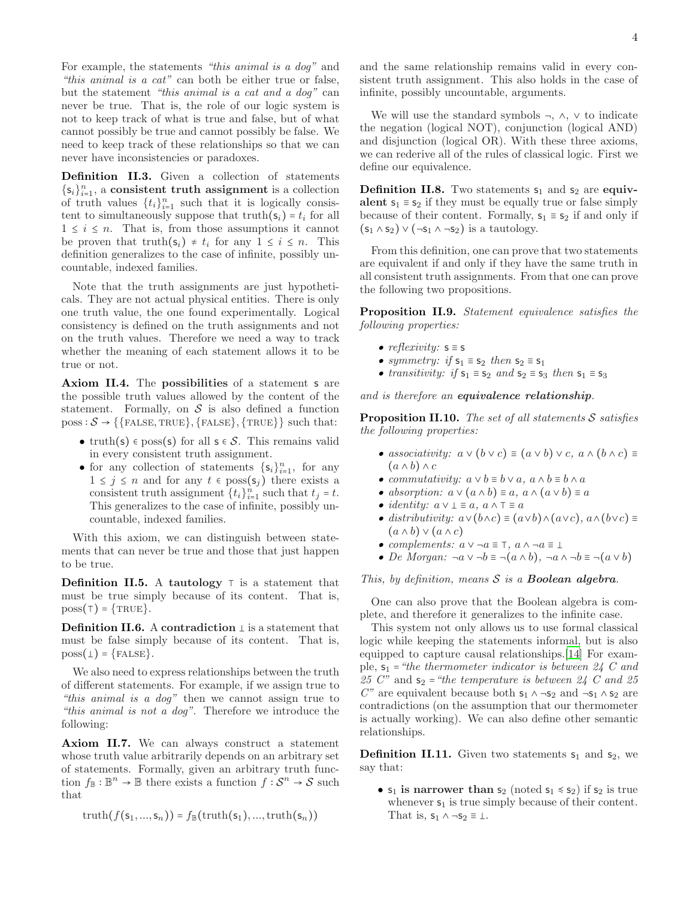For example, the statements "this animal is a dog" and "this animal is a cat" can both be either true or false, but the statement "this animal is a cat and a dog" can never be true. That is, the role of our logic system is not to keep track of what is true and false, but of what cannot possibly be true and cannot possibly be false. We need to keep track of these relationships so that we can never have inconsistencies or paradoxes.

Definition II.3. Given a collection of statements  $\{\mathsf s_i\}_{i=1}^n$ , a consistent truth assignment is a collection of truth values  $\{t_i\}_{i=1}^n$  such that it is logically consistent to simultaneously suppose that  $truth(s_i) = t_i$  for all  $1 \leq i \leq n$ . That is, from those assumptions it cannot be proven that truth( $s_i$ ) ≠  $t_i$  for any  $1 \leq i \leq n$ . This definition generalizes to the case of infinite, possibly uncountable, indexed families.

Note that the truth assignments are just hypotheticals. They are not actual physical entities. There is only one truth value, the one found experimentally. Logical consistency is defined on the truth assignments and not on the truth values. Therefore we need a way to track whether the meaning of each statement allows it to be true or not.

Axiom II.4. The possibilities of a statement s are the possible truth values allowed by the content of the statement. Formally, on  $S$  is also defined a function  $poss: \mathcal{S} \rightarrow \{\{\text{FALSE}, \text{TRUE}\}, \{\text{FALSE}\}, \{\text{TRUE}\}\}$  such that:

- truth(s)  $\epsilon$  poss(s) for all  $s \in S$ . This remains valid in every consistent truth assignment.
- for any collection of statements  $\{s_i\}_{i=1}^n$ , for any  $1 \leq j \leq n$  and for any  $t \in \text{poss}(\mathsf{s}_j)$  there exists a consistent truth assignment  $\{t_i\}_{i=1}^n$  such that  $t_j = t$ . This generalizes to the case of infinite, possibly uncountable, indexed families.

With this axiom, we can distinguish between statements that can never be true and those that just happen to be true.

**Definition II.5.** A tautology  $⊺$  is a statement that must be true simply because of its content. That is,  $poss(†) = {TRUE}.$ 

**Definition II.6.** A contradiction  $\perp$  is a statement that must be false simply because of its content. That is,  $poss(\bot) = {FALES}.$ 

We also need to express relationships between the truth of different statements. For example, if we assign true to "this animal is a dog" then we cannot assign true to "this animal is not a dog". Therefore we introduce the following:

Axiom II.7. We can always construct a statement whose truth value arbitrarily depends on an arbitrary set of statements. Formally, given an arbitrary truth function  $f_{\mathbb{B}} : \mathbb{B}^n \to \mathbb{B}$  there exists a function  $f : \mathcal{S}^n \to \mathcal{S}$  such that

truth $(f(s_1, ..., s_n)) = f_{\mathbb{B}}(\text{truth}(s_1), ..., \text{truth}(s_n))$ 

We will use the standard symbols  $\neg$ ,  $\wedge$ ,  $\vee$  to indicate the negation (logical NOT), conjunction (logical AND) and disjunction (logical OR). With these three axioms, we can rederive all of the rules of classical logic. First we define our equivalence.

**Definition II.8.** Two statements  $s_1$  and  $s_2$  are equivalent  $s_1 \equiv s_2$  if they must be equally true or false simply because of their content. Formally,  $s_1 \equiv s_2$  if and only if  $(s_1 \wedge s_2) \vee (\neg s_1 \wedge \neg s_2)$  is a tautology.

From this definition, one can prove that two statements are equivalent if and only if they have the same truth in all consistent truth assignments. From that one can prove the following two propositions.

Proposition II.9. Statement equivalence satisfies the following properties:

- reflexivity:  $s \equiv s$
- symmetry: if  $s_1 \equiv s_2$  then  $s_2 \equiv s_1$
- transitivity: if  $s_1 \equiv s_2$  and  $s_2 \equiv s_3$  then  $s_1 \equiv s_3$

and is therefore an equivalence relationship.

**Proposition II.10.** The set of all statements  $S$  satisfies the following properties:

- associativity:  $a \vee (b \vee c) \equiv (a \vee b) \vee c, a \wedge (b \wedge c) \equiv c$  $(a \wedge b) \wedge c$
- commutativity:  $a \vee b \equiv b \vee a$ ,  $a \wedge b \equiv b \wedge a$
- absorption:  $a \vee (a \wedge b) \equiv a, a \wedge (a \vee b) \equiv a$
- *identity:*  $a \vee \bot \equiv a, a \wedge \top \equiv a$
- distributivity:  $a \vee (b \wedge c) \equiv (a \vee b) \wedge (a \vee c)$ ,  $a \wedge (b \vee c) \equiv$  $(a \wedge b) \vee (a \wedge c)$
- complements:  $a \vee \neg a \equiv \top$ ,  $a \wedge \neg a \equiv \bot$
- De Morgan:  $\neg a \vee \neg b \equiv \neg (a \wedge b)$ ,  $\neg a \wedge \neg b \equiv \neg (a \vee b)$

## This, by definition, means  $S$  is a **Boolean algebra**.

One can also prove that the Boolean algebra is complete, and therefore it generalizes to the infinite case.

This system not only allows us to use formal classical logic while keeping the statements informal, but is also equipped to capture causal relationships.[\[14\]](#page-8-6) For example,  $s_1$  = "the thermometer indicator is between 24 C and 25 C" and  $s_2$  = "the temperature is between 24 C and 25 C" are equivalent because both  $s_1 \wedge \neg s_2$  and  $\neg s_1 \wedge s_2$  are contradictions (on the assumption that our thermometer is actually working). We can also define other semantic relationships.

**Definition II.11.** Given two statements  $s_1$  and  $s_2$ , we say that:

•  $s_1$  is narrower than  $s_2$  (noted  $s_1 \leq s_2$ ) if  $s_2$  is true whenever  $s_1$  is true simply because of their content. That is,  $s_1 \wedge \neg s_2 \equiv \bot$ .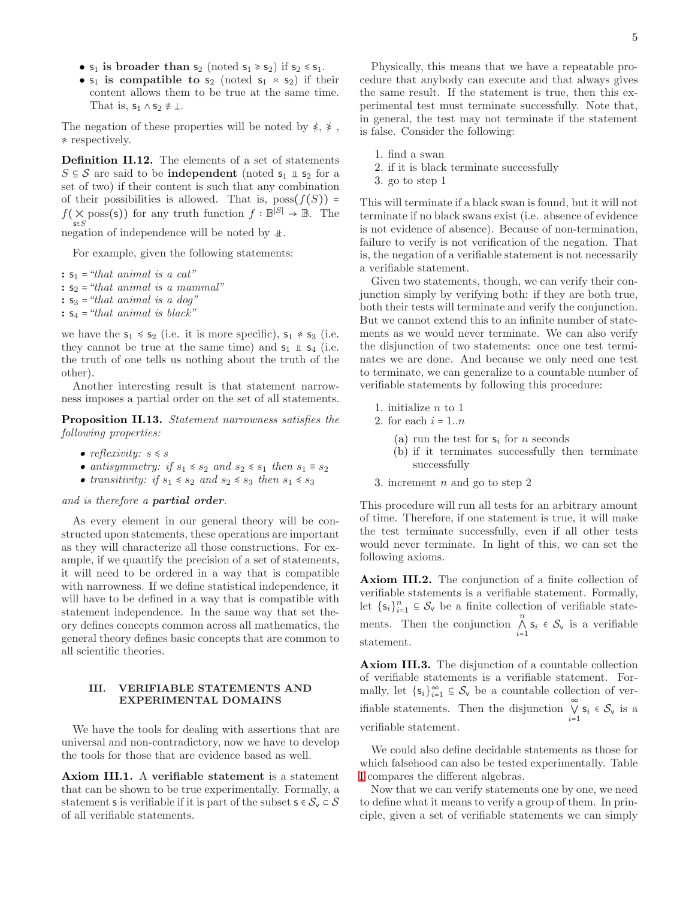- $s_1$  is broader than  $s_2$  (noted  $s_1 \ge s_2$ ) if  $s_2 \le s_1$ .
- $s_1$  is compatible to  $s_2$  (noted  $s_1 \approx s_2$ ) if their content allows them to be true at the same time. That is,  $s_1 \wedge s_2 \neq \bot$ .

The negation of these properties will be noted by  $\sharp$ ,  $\sharp$ ,  $*$  respectively.

Definition II.12. The elements of a set of statements  $S \subseteq S$  are said to be **independent** (noted  $s_1 \perp s_2$  for a set of two) if their content is such that any combination of their possibilities is allowed. That is,  $pos(f(S)) =$  $f(\times \text{poss}(s))$  for any truth function  $f : \mathbb{B}^{|S|} \to \mathbb{B}$ . The  $\mathsf{s}\mathsf{e} S$ 

negation of independence will be noted by  $\pm$ .

For example, given the following statements:

:  $s_1$  = "that animal is a cat" :  $s_2$  = "that animal is a mammal" :  $s_3$  = "that animal is a dog" :  $s_4$  = "that animal is black"

we have the  $s_1 \le s_2$  (i.e. it is more specific),  $s_1 \not\approx s_3$  (i.e. they cannot be true at the same time) and  $s_1 \perp s_4$  (i.e. the truth of one tells us nothing about the truth of the other).

Another interesting result is that statement narrowness imposes a partial order on the set of all statements.

Proposition II.13. Statement narrowness satisfies the following properties:

- reflexivity:  $s \leq s$
- antisymmetry: if  $s_1 \leq s_2$  and  $s_2 \leq s_1$  then  $s_1 \equiv s_2$
- transitivity: if  $s_1 \le s_2$  and  $s_2 \le s_3$  then  $s_1 \le s_3$

### and is therefore a partial order.

As every element in our general theory will be constructed upon statements, these operations are important as they will characterize all those constructions. For example, if we quantify the precision of a set of statements, it will need to be ordered in a way that is compatible with narrowness. If we define statistical independence, it will have to be defined in a way that is compatible with statement independence. In the same way that set theory defines concepts common across all mathematics, the general theory defines basic concepts that are common to all scientific theories.

#### III. VERIFIABLE STATEMENTS AND EXPERIMENTAL DOMAINS

We have the tools for dealing with assertions that are universal and non-contradictory, now we have to develop the tools for those that are evidence based as well.

Axiom III.1. A verifiable statement is a statement that can be shown to be true experimentally. Formally, a statement s is verifiable if it is part of the subset  $s \in S_v \subset S$ of all verifiable statements.

Physically, this means that we have a repeatable procedure that anybody can execute and that always gives the same result. If the statement is true, then this experimental test must terminate successfully. Note that, in general, the test may not terminate if the statement is false. Consider the following:

- 1. find a swan
- 2. if it is black terminate successfully
- 3. go to step 1

This will terminate if a black swan is found, but it will not terminate if no black swans exist (i.e. absence of evidence is not evidence of absence). Because of non-termination, failure to verify is not verification of the negation. That is, the negation of a verifiable statement is not necessarily a verifiable statement.

Given two statements, though, we can verify their conjunction simply by verifying both: if they are both true, both their tests will terminate and verify the conjunction. But we cannot extend this to an infinite number of statements as we would never terminate. We can also verify the disjunction of two statements: once one test terminates we are done. And because we only need one test to terminate, we can generalize to a countable number of verifiable statements by following this procedure:

- 1. initialize n to 1
- 2. for each  $i = 1..n$ 
	- (a) run the test for  $s_i$  for n seconds
	- (b) if it terminates successfully then terminate successfully
- 3. increment  $n$  and go to step 2

This procedure will run all tests for an arbitrary amount of time. Therefore, if one statement is true, it will make the test terminate successfully, even if all other tests would never terminate. In light of this, we can set the following axioms.

Axiom III.2. The conjunction of a finite collection of verifiable statements is a verifiable statement. Formally, let  $\{s_i\}_{i=1}^n \subseteq S_v$  be a finite collection of verifiable statements. Then the conjunction  $\bigwedge_{i=1}^{n} s_i \in S_{\mathsf{v}}$  is a verifiable statement.

Axiom III.3. The disjunction of a countable collection of verifiable statements is a verifiable statement. Formally, let  $\{s_i\}_{i=1}^{\infty} \subseteq S_{\mathsf{v}}$  be a countable collection of verifiable statements. Then the disjunction  $\bigvee_{i=1}^{\infty} s_i \in S_{\mathsf{v}}$  is a verifiable statement.

We could also define decidable statements as those for which falsehood can also be tested experimentally. Table [I](#page-5-0) compares the different algebras.

Now that we can verify statements one by one, we need to define what it means to verify a group of them. In principle, given a set of verifiable statements we can simply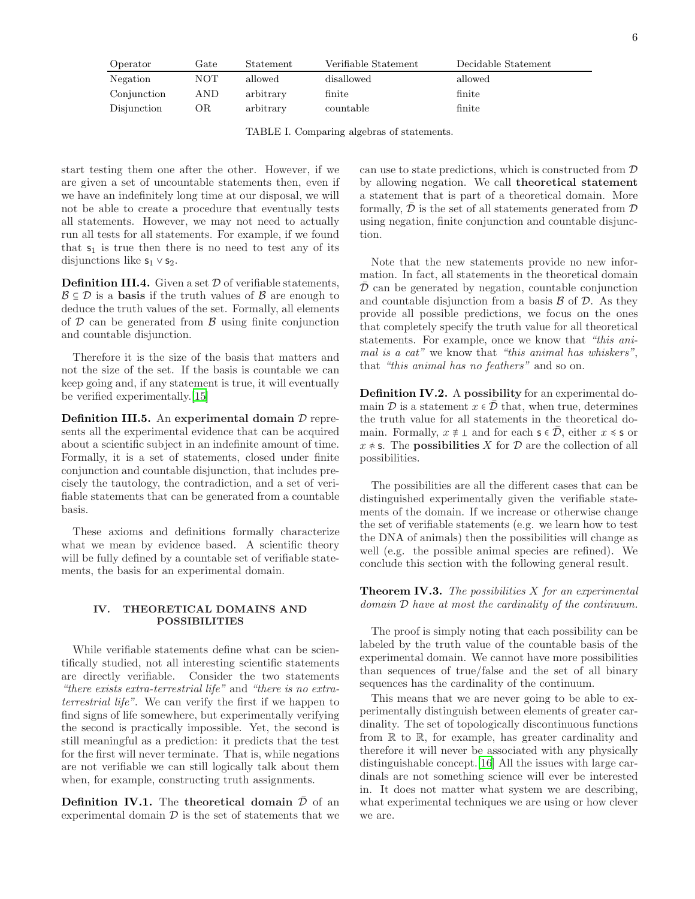| Operator    | Gate       | Statement | Verifiable Statement | Decidable Statement |
|-------------|------------|-----------|----------------------|---------------------|
| Negation    | <b>NOT</b> | allowed   | disallowed           | allowed             |
| Conjunction | AND        | arbitrary | finite               | finite              |
| Disjunction | ОR         | arbitrary | countable            | finite              |

<span id="page-5-0"></span>TABLE I. Comparing algebras of statements.

start testing them one after the other. However, if we are given a set of uncountable statements then, even if we have an indefinitely long time at our disposal, we will not be able to create a procedure that eventually tests all statements. However, we may not need to actually run all tests for all statements. For example, if we found that  $s_1$  is true then there is no need to test any of its disjunctions like  $s_1 \vee s_2$ .

**Definition III.4.** Given a set  $D$  of verifiable statements,  $\mathcal{B} \subseteq \mathcal{D}$  is a **basis** if the truth values of  $\mathcal{B}$  are enough to deduce the truth values of the set. Formally, all elements of  $D$  can be generated from  $B$  using finite conjunction and countable disjunction.

Therefore it is the size of the basis that matters and not the size of the set. If the basis is countable we can keep going and, if any statement is true, it will eventually be verified experimentally.[\[15\]](#page-8-7)

**Definition III.5.** An experimental domain  $D$  represents all the experimental evidence that can be acquired about a scientific subject in an indefinite amount of time. Formally, it is a set of statements, closed under finite conjunction and countable disjunction, that includes precisely the tautology, the contradiction, and a set of verifiable statements that can be generated from a countable basis.

These axioms and definitions formally characterize what we mean by evidence based. A scientific theory will be fully defined by a countable set of verifiable statements, the basis for an experimental domain.

#### IV. THEORETICAL DOMAINS AND POSSIBILITIES

While verifiable statements define what can be scientifically studied, not all interesting scientific statements are directly verifiable. Consider the two statements "there exists extra-terrestrial life" and "there is no extraterrestrial life". We can verify the first if we happen to find signs of life somewhere, but experimentally verifying the second is practically impossible. Yet, the second is still meaningful as a prediction: it predicts that the test for the first will never terminate. That is, while negations are not verifiable we can still logically talk about them when, for example, constructing truth assignments.

**Definition IV.1.** The theoretical domain  $\overline{\mathcal{D}}$  of an experimental domain  $\mathcal D$  is the set of statements that we

can use to state predictions, which is constructed from D by allowing negation. We call theoretical statement a statement that is part of a theoretical domain. More formally,  $\mathcal D$  is the set of all statements generated from  $\mathcal D$ using negation, finite conjunction and countable disjunction.

Note that the new statements provide no new information. In fact, all statements in the theoretical domain  $D$  can be generated by negation, countable conjunction and countable disjunction from a basis  $\beta$  of  $\mathcal{D}$ . As they provide all possible predictions, we focus on the ones that completely specify the truth value for all theoretical statements. For example, once we know that "this animal is a cat" we know that "this animal has whiskers", that "this animal has no feathers" and so on.

Definition IV.2. A possibility for an experimental domain  $D$  is a statement  $x \in D$  that, when true, determines the truth value for all statements in the theoretical domain. Formally,  $x \neq \bot$  and for each  $s \in \overline{\mathcal{D}}$ , either  $x \leq s$  or  $x \notin S$ . The **possibilities** X for D are the collection of all possibilities.

The possibilities are all the different cases that can be distinguished experimentally given the verifiable statements of the domain. If we increase or otherwise change the set of verifiable statements (e.g. we learn how to test the DNA of animals) then the possibilities will change as well (e.g. the possible animal species are refined). We conclude this section with the following general result.

**Theorem IV.3.** The possibilities  $X$  for an experimental domain D have at most the cardinality of the continuum.

The proof is simply noting that each possibility can be labeled by the truth value of the countable basis of the experimental domain. We cannot have more possibilities than sequences of true/false and the set of all binary sequences has the cardinality of the continuum.

This means that we are never going to be able to experimentally distinguish between elements of greater cardinality. The set of topologically discontinuous functions from R to R, for example, has greater cardinality and therefore it will never be associated with any physically distinguishable concept.[\[16\]](#page-8-8) All the issues with large cardinals are not something science will ever be interested in. It does not matter what system we are describing, what experimental techniques we are using or how clever we are.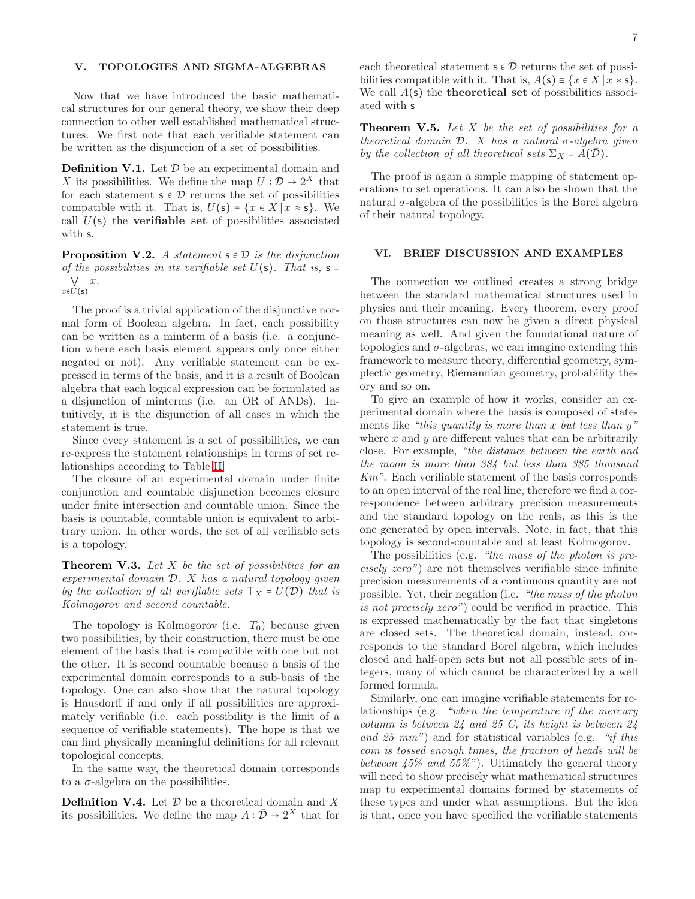## V. TOPOLOGIES AND SIGMA-ALGEBRAS

Now that we have introduced the basic mathematical structures for our general theory, we show their deep connection to other well established mathematical structures. We first note that each verifiable statement can be written as the disjunction of a set of possibilities.

**Definition V.1.** Let  $D$  be an experimental domain and X its possibilities. We define the map  $U: \mathcal{D} \to 2^X$  that for each statement  $s \in \mathcal{D}$  returns the set of possibilities compatible with it. That is,  $U(s) = \{x \in X | x \in s\}$ . We call  $U(\mathsf{s})$  the **verifiable set** of possibilities associated with s.

**Proposition V.2.** A statement  $s \in \mathcal{D}$  is the disjunction of the possibilities in its verifiable set  $U(\mathsf{s})$ . That is,  $\mathsf{s} =$ ⋁ x.  $x \in U(s)$ 

The proof is a trivial application of the disjunctive normal form of Boolean algebra. In fact, each possibility can be written as a minterm of a basis (i.e. a conjunction where each basis element appears only once either negated or not). Any verifiable statement can be expressed in terms of the basis, and it is a result of Boolean algebra that each logical expression can be formulated as a disjunction of minterms (i.e. an OR of ANDs). Intuitively, it is the disjunction of all cases in which the statement is true.

Since every statement is a set of possibilities, we can re-express the statement relationships in terms of set relationships according to Table [II.](#page-7-7)

The closure of an experimental domain under finite conjunction and countable disjunction becomes closure under finite intersection and countable union. Since the basis is countable, countable union is equivalent to arbitrary union. In other words, the set of all verifiable sets is a topology.

**Theorem V.3.** Let  $X$  be the set of possibilities for an experimental domain D. X has a natural topology given by the collection of all verifiable sets  $T_X = U(\mathcal{D})$  that is Kolmogorov and second countable.

The topology is Kolmogorov (i.e.  $T_0$ ) because given two possibilities, by their construction, there must be one element of the basis that is compatible with one but not the other. It is second countable because a basis of the experimental domain corresponds to a sub-basis of the topology. One can also show that the natural topology is Hausdorff if and only if all possibilities are approximately verifiable (i.e. each possibility is the limit of a sequence of verifiable statements). The hope is that we can find physically meaningful definitions for all relevant topological concepts.

In the same way, the theoretical domain corresponds to a  $\sigma$ -algebra on the possibilities.

**Definition V.4.** Let  $\overline{\mathcal{D}}$  be a theoretical domain and X its possibilities. We define the map  $A: \bar{\mathcal{D}} \to 2^X$  that for

each theoretical statement  $s \in \overline{\mathcal{D}}$  returns the set of possibilities compatible with it. That is,  $A(s) = \{x \in X \mid x \approx s\}.$ We call  $A(s)$  the **theoretical set** of possibilities associ-ated with s

**Theorem V.5.** Let X be the set of possibilities for a theoretical domain  $\overline{\mathcal{D}}$ . X has a natural  $\sigma$ -algebra given by the collection of all theoretical sets  $\Sigma_X = A(D)$ .

The proof is again a simple mapping of statement operations to set operations. It can also be shown that the natural  $\sigma$ -algebra of the possibilities is the Borel algebra of their natural topology.

### VI. BRIEF DISCUSSION AND EXAMPLES

The connection we outlined creates a strong bridge between the standard mathematical structures used in physics and their meaning. Every theorem, every proof on those structures can now be given a direct physical meaning as well. And given the foundational nature of topologies and  $\sigma$ -algebras, we can imagine extending this framework to measure theory, differential geometry, symplectic geometry, Riemannian geometry, probability theory and so on.

To give an example of how it works, consider an experimental domain where the basis is composed of statements like "this quantity is more than x but less than  $y$ " where  $x$  and  $y$  are different values that can be arbitrarily close. For example, "the distance between the earth and the moon is more than 384 but less than 385 thousand Km". Each verifiable statement of the basis corresponds to an open interval of the real line, therefore we find a correspondence between arbitrary precision measurements and the standard topology on the reals, as this is the one generated by open intervals. Note, in fact, that this topology is second-countable and at least Kolmogorov.

The possibilities (e.g. "the mass of the photon is precisely zero") are not themselves verifiable since infinite precision measurements of a continuous quantity are not possible. Yet, their negation (i.e. "the mass of the photon is not precisely zero") could be verified in practice. This is expressed mathematically by the fact that singletons are closed sets. The theoretical domain, instead, corresponds to the standard Borel algebra, which includes closed and half-open sets but not all possible sets of integers, many of which cannot be characterized by a well formed formula.

Similarly, one can imagine verifiable statements for relationships (e.g. "when the temperature of the mercury column is between 24 and 25 C, its height is between 24 and 25 mm") and for statistical variables (e.g. "if this coin is tossed enough times, the fraction of heads will be between  $45\%$  and  $55\%$ "). Ultimately the general theory will need to show precisely what mathematical structures map to experimental domains formed by statements of these types and under what assumptions. But the idea is that, once you have specified the verifiable statements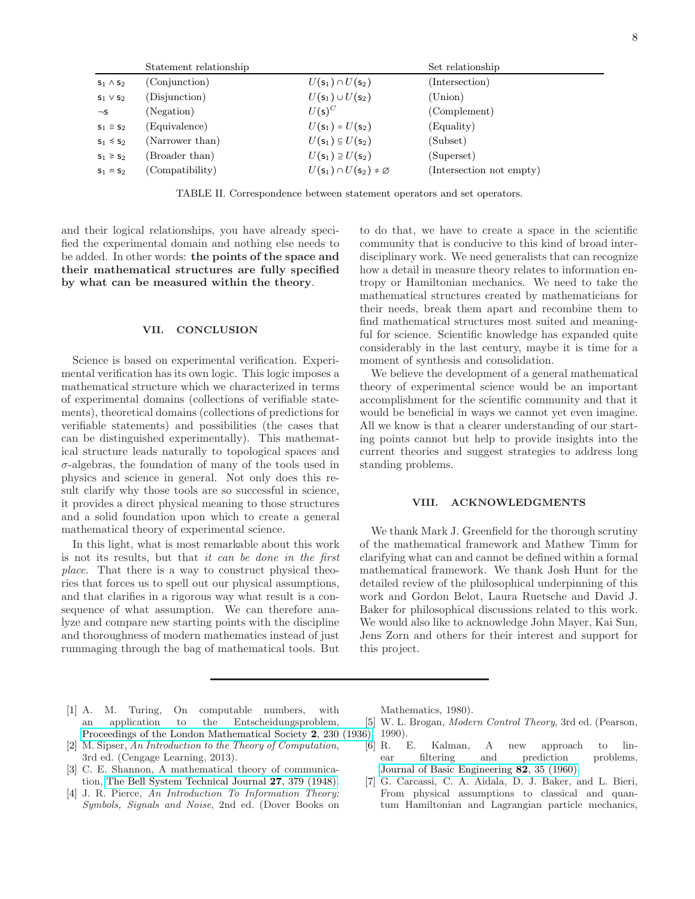| Statement relationship |                 | Set relationship                                        |                          |
|------------------------|-----------------|---------------------------------------------------------|--------------------------|
| $S_1 \wedge S_2$       | (Conjunction)   | $U(\mathsf{s}_1) \cap U(\mathsf{s}_2)$                  | (Intersection)           |
| $s_1 \vee s_2$         | (Disjunction)   | $U(\mathsf{s}_1) \cup U(\mathsf{s}_2)$                  | (Union)                  |
| $\neg$ S               | (Negation)      | $U(s)^C$                                                | (Complement)             |
| $s_1 \equiv s_2$       | (Equivalence)   | $U({\sf s}_1) = U({\sf s}_2)$                           | (Equality)               |
| $s_1 \le s_2$          | (Narrower than) | $U(\mathsf{s}_1) \subseteq U(\mathsf{s}_2)$             | (Subset)                 |
| $s_1 \ge s_2$          | (Broader than)  | $U(\mathsf{s}_1) \supseteq U(\mathsf{s}_2)$             | (Superset)               |
| $S_1 \approx S_2$      | (Compatibility) | $U(\mathsf{s}_1) \cap U(\mathsf{s}_2) \neq \varnothing$ | (Intersection not empty) |

<span id="page-7-7"></span>TABLE II. Correspondence between statement operators and set operators.

and their logical relationships, you have already specified the experimental domain and nothing else needs to be added. In other words: the points of the space and their mathematical structures are fully specified by what can be measured within the theory.

#### VII. CONCLUSION

Science is based on experimental verification. Experimental verification has its own logic. This logic imposes a mathematical structure which we characterized in terms of experimental domains (collections of verifiable statements), theoretical domains (collections of predictions for verifiable statements) and possibilities (the cases that can be distinguished experimentally). This mathematical structure leads naturally to topological spaces and  $\sigma$ -algebras, the foundation of many of the tools used in physics and science in general. Not only does this result clarify why those tools are so successful in science, it provides a direct physical meaning to those structures and a solid foundation upon which to create a general mathematical theory of experimental science.

In this light, what is most remarkable about this work is not its results, but that it can be done in the first place. That there is a way to construct physical theories that forces us to spell out our physical assumptions, and that clarifies in a rigorous way what result is a consequence of what assumption. We can therefore analyze and compare new starting points with the discipline and thoroughness of modern mathematics instead of just rummaging through the bag of mathematical tools. But

to do that, we have to create a space in the scientific community that is conducive to this kind of broad interdisciplinary work. We need generalists that can recognize how a detail in measure theory relates to information entropy or Hamiltonian mechanics. We need to take the mathematical structures created by mathematicians for their needs, break them apart and recombine them to find mathematical structures most suited and meaningful for science. Scientific knowledge has expanded quite considerably in the last century, maybe it is time for a moment of synthesis and consolidation.

We believe the development of a general mathematical theory of experimental science would be an important accomplishment for the scientific community and that it would be beneficial in ways we cannot yet even imagine. All we know is that a clearer understanding of our starting points cannot but help to provide insights into the current theories and suggest strategies to address long standing problems.

#### VIII. ACKNOWLEDGMENTS

We thank Mark J. Greenfield for the thorough scrutiny of the mathematical framework and Mathew Timm for clarifying what can and cannot be defined within a formal mathematical framework. We thank Josh Hunt for the detailed review of the philosophical underpinning of this work and Gordon Belot, Laura Ruetsche and David J. Baker for philosophical discussions related to this work. We would also like to acknowledge John Mayer, Kai Sun, Jens Zorn and others for their interest and support for this project.

- <span id="page-7-0"></span>[1] A. M. Turing, On computable numbers, with an application to the Entscheidungsproblem, [Proceedings of the London Mathematical Society](https://doi.org/10.1112/plms/s2-42.1.230) 2, 230 (1936). 1990).
- <span id="page-7-1"></span>[2] M. Sipser, An Introduction to the Theory of Computation, 3rd ed. (Cengage Learning, 2013).
- <span id="page-7-2"></span>[3] C. E. Shannon, A mathematical theory of communication, [The Bell System Technical Journal](https://doi.org/10.1002/j.1538-7305.1948.tb01338.x) 27, 379 (1948).
- <span id="page-7-3"></span>[4] J. R. Pierce, An Introduction To Information Theory: Symbols, Signals and Noise, 2nd ed. (Dover Books on

Mathematics, 1980).

- <span id="page-7-4"></span>[5] W. L. Brogan, Modern Control Theory, 3rd ed. (Pearson,
- <span id="page-7-5"></span>[6] R. E. Kalman, A new approach to linear filtering and prediction problems, [Journal of Basic Engineering](https://doi.org/10.1115/1.3662552) 82, 35 (1960).
- <span id="page-7-6"></span>[7] G. Carcassi, C. A. Aidala, D. J. Baker, and L. Bieri, From physical assumptions to classical and quantum Hamiltonian and Lagrangian particle mechanics,